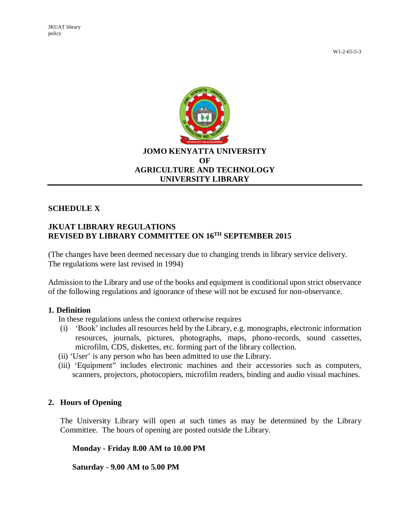

#### **SCHEDULE X**

### **JKUAT LIBRARY REGULATIONS REVISED BY LIBRARY COMMITTEE ON 16TH SEPTEMBER 2015**

(The changes have been deemed necessary due to changing trends in library service delivery. The regulations were last revised in 1994)

Admission to the Library and use of the books and equipment is conditional upon strict observance of the following regulations and ignorance of these will not be excused for non-observance.

#### **1. Definition**

In these regulations unless the context otherwise requires

- (i) 'Book' includes all resources held by the Library, e.g. monographs, electronic information resources, journals, pictures, photographs, maps, phono-records, sound cassettes, microfilm, CDS, diskettes, etc. forming part of the library collection.
- (ii) 'User' is any person who has been admitted to use the Library.
- (iii) 'Equipment" includes electronic machines and their accessories such as computers, scanners, projectors, photocopiers, microfilm readers, binding and audio visual machines.

#### **2. Hours of Opening**

The University Library will open at such times as may be determined by the Library Committee. The hours of opening are posted outside the Library.

**Monday - Friday 8.00 AM to 10.00 PM**

**Saturday - 9.00 AM to 5.00 PM**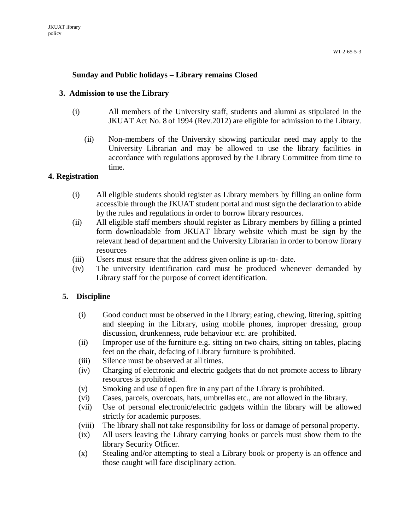### **Sunday and Public holidays – Library remains Closed**

#### **3. Admission to use the Library**

- (i) All members of the University staff, students and alumni as stipulated in the JKUAT Act No. 8 of 1994 (Rev.2012) are eligible for admission to the Library.
	- (ii) Non-members of the University showing particular need may apply to the University Librarian and may be allowed to use the library facilities in accordance with regulations approved by the Library Committee from time to time.

#### **4. Registration**

- (i) All eligible students should register as Library members by filling an online form accessible through the JKUAT student portal and must sign the declaration to abide by the rules and regulations in order to borrow library resources.
- (ii) All eligible staff members should register as Library members by filling a printed form downloadable from JKUAT library website which must be sign by the relevant head of department and the University Librarian in order to borrow library resources
- (iii) Users must ensure that the address given online is up-to- date.
- (iv) The university identification card must be produced whenever demanded by Library staff for the purpose of correct identification.

#### **5. Discipline**

- (i) Good conduct must be observed in the Library; eating, chewing, littering, spitting and sleeping in the Library, using mobile phones, improper dressing, group discussion, drunkenness, rude behaviour etc. are prohibited.
- (ii) Improper use of the furniture e.g. sitting on two chairs, sitting on tables, placing feet on the chair, defacing of Library furniture is prohibited.
- (iii) Silence must be observed at all times.
- (iv) Charging of electronic and electric gadgets that do not promote access to library resources is prohibited.
- (v) Smoking and use of open fire in any part of the Library is prohibited.
- (vi) Cases, parcels, overcoats, hats, umbrellas etc., are not allowed in the library.
- (vii) Use of personal electronic/electric gadgets within the library will be allowed strictly for academic purposes.
- (viii) The library shall not take responsibility for loss or damage of personal property.
- (ix) All users leaving the Library carrying books or parcels must show them to the library Security Officer.
- (x) Stealing and/or attempting to steal a Library book or property is an offence and those caught will face disciplinary action.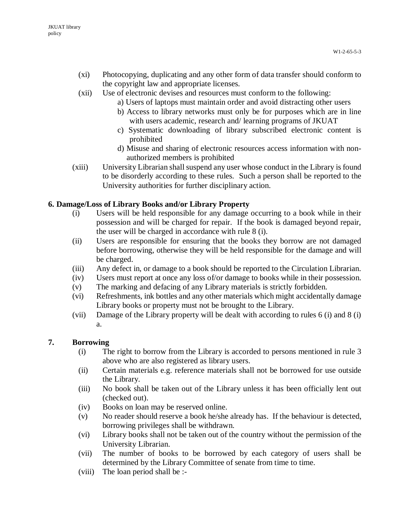- (xi) Photocopying, duplicating and any other form of data transfer should conform to the copyright law and appropriate licenses.
- (xii) Use of electronic devises and resources must conform to the following:
	- a) Users of laptops must maintain order and avoid distracting other users
	- b) Access to library networks must only be for purposes which are in line with users academic, research and/ learning programs of JKUAT
	- c) Systematic downloading of library subscribed electronic content is prohibited
	- d) Misuse and sharing of electronic resources access information with nonauthorized members is prohibited
- (xiii) University Librarian shall suspend any user whose conduct in the Library is found to be disorderly according to these rules. Such a person shall be reported to the University authorities for further disciplinary action.

## **6. Damage/Loss of Library Books and/or Library Property**

- (i) Users will be held responsible for any damage occurring to a book while in their possession and will be charged for repair. If the book is damaged beyond repair, the user will be charged in accordance with rule 8 (i).
- (ii) Users are responsible for ensuring that the books they borrow are not damaged before borrowing, otherwise they will be held responsible for the damage and will be charged.
- (iii) Any defect in, or damage to a book should be reported to the Circulation Librarian.
- (iv) Users must report at once any loss of/or damage to books while in their possession.
- (v) The marking and defacing of any Library materials is strictly forbidden.
- (vi) Refreshments, ink bottles and any other materials which might accidentally damage Library books or property must not be brought to the Library.
- (vii) Damage of the Library property will be dealt with according to rules 6 (i) and 8 (i) a.

### **7. Borrowing**

- (i) The right to borrow from the Library is accorded to persons mentioned in rule 3 above who are also registered as library users.
- (ii) Certain materials e.g. reference materials shall not be borrowed for use outside the Library.
- (iii) No book shall be taken out of the Library unless it has been officially lent out (checked out).
- (iv) Books on loan may be reserved online.
- (v) No reader should reserve a book he/she already has. If the behaviour is detected, borrowing privileges shall be withdrawn.
- (vi) Library books shall not be taken out of the country without the permission of the University Librarian.
- (vii) The number of books to be borrowed by each category of users shall be determined by the Library Committee of senate from time to time.
- (viii) The loan period shall be :-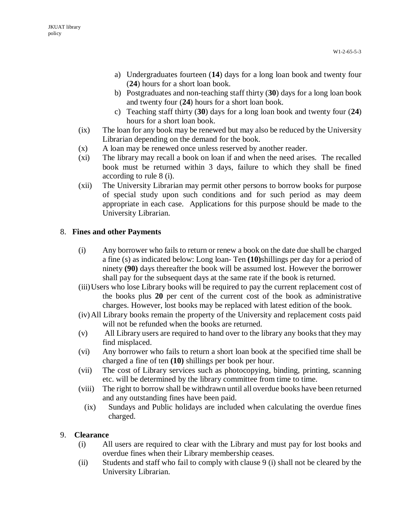- a) Undergraduates fourteen (**14**) days for a long loan book and twenty four (**24**) hours for a short loan book.
- b) Postgraduates and non-teaching staff thirty (**30**) days for a long loan book and twenty four (**24**) hours for a short loan book.
- c) Teaching staff thirty (**30**) days for a long loan book and twenty four (**24**) hours for a short loan book.
- (ix) The loan for any book may be renewed but may also be reduced by the University Librarian depending on the demand for the book.
- (x) A loan may be renewed once unless reserved by another reader.
- (xi) The library may recall a book on loan if and when the need arises. The recalled book must be returned within 3 days, failure to which they shall be fined according to rule 8 (i).
- (xii) The University Librarian may permit other persons to borrow books for purpose of special study upon such conditions and for such period as may deem appropriate in each case. Applications for this purpose should be made to the University Librarian.

# 8. **Fines and other Payments**

- (i) Any borrower who fails to return or renew a book on the date due shall be charged a fine (s) as indicated below: Long loan- Ten **(10)**shillings per day for a period of ninety **(90)** days thereafter the book will be assumed lost. However the borrower shall pay for the subsequent days at the same rate if the book is returned.
- (iii)Users who lose Library books will be required to pay the current replacement cost of the books plus **20** per cent of the current cost of the book as administrative charges. However, lost books may be replaced with latest edition of the book.
- (iv)All Library books remain the property of the University and replacement costs paid will not be refunded when the books are returned.
- (v) All Library users are required to hand over to the library any books that they may find misplaced.
- (vi) Any borrower who fails to return a short loan book at the specified time shall be charged a fine of ten **(10)** shillings per book per hour.
- (vii) The cost of Library services such as photocopying, binding, printing, scanning etc. will be determined by the library committee from time to time.
- (viii) The right to borrow shall be withdrawn until all overdue books have been returned and any outstanding fines have been paid.
	- (ix) Sundays and Public holidays are included when calculating the overdue fines charged.

## 9. **Clearance**

- (i) All users are required to clear with the Library and must pay for lost books and overdue fines when their Library membership ceases.
- (ii) Students and staff who fail to comply with clause 9 (i) shall not be cleared by the University Librarian.